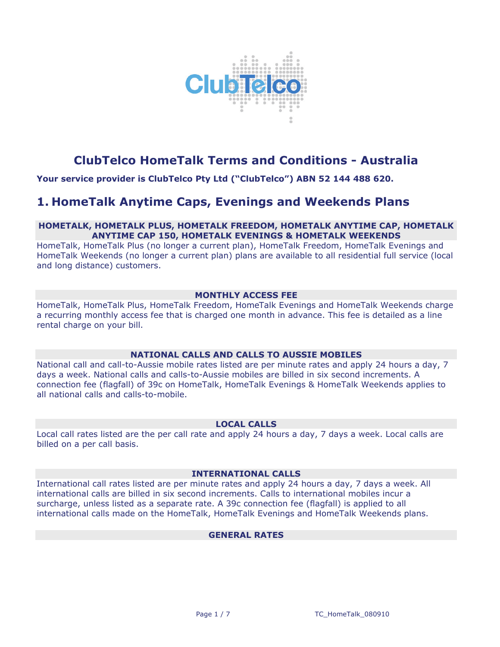

# **ClubTelco HomeTalk Terms and Conditions - Australia**

**Your service provider is ClubTelco Pty Ltd ("ClubTelco") ABN 52 144 488 620.**

# **1. HomeTalk Anytime Caps, Evenings and Weekends Plans**

# **HOMETALK, HOMETALK PLUS, HOMETALK FREEDOM, HOMETALK ANYTIME CAP, HOMETALK ANYTIME CAP 150, HOMETALK EVENINGS & HOMETALK WEEKENDS**

HomeTalk, HomeTalk Plus (no longer a current plan), HomeTalk Freedom, HomeTalk Evenings and HomeTalk Weekends (no longer a current plan) plans are available to all residential full service (local and long distance) customers.

# **MONTHLY ACCESS FEE**

HomeTalk, HomeTalk Plus, HomeTalk Freedom, HomeTalk Evenings and HomeTalk Weekends charge a recurring monthly access fee that is charged one month in advance. This fee is detailed as a line rental charge on your bill.

# **NATIONAL CALLS AND CALLS TO AUSSIE MOBILES**

National call and call-to-Aussie mobile rates listed are per minute rates and apply 24 hours a day, 7 days a week. National calls and calls-to-Aussie mobiles are billed in six second increments. A connection fee (flagfall) of 39c on HomeTalk, HomeTalk Evenings & HomeTalk Weekends applies to all national calls and calls-to-mobile.

# **LOCAL CALLS**

Local call rates listed are the per call rate and apply 24 hours a day, 7 days a week. Local calls are billed on a per call basis.

# **INTERNATIONAL CALLS**

International call rates listed are per minute rates and apply 24 hours a day, 7 days a week. All international calls are billed in six second increments. Calls to international mobiles incur a surcharge, unless listed as a separate rate. A 39c connection fee (flagfall) is applied to all international calls made on the HomeTalk, HomeTalk Evenings and HomeTalk Weekends plans.

# **GENERAL RATES**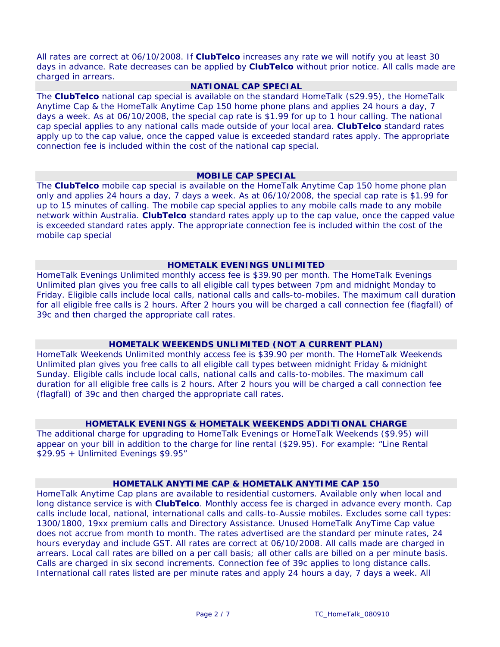All rates are correct at 06/10/2008. If **ClubTelco** increases any rate we will notify you at least 30 days in advance. Rate decreases can be applied by **ClubTelco** without prior notice. All calls made are charged in arrears.

# **NATIONAL CAP SPECIAL**

The **ClubTelco** national cap special is available on the standard HomeTalk (\$29.95), the HomeTalk Anytime Cap & the HomeTalk Anytime Cap 150 home phone plans and applies 24 hours a day, 7 days a week. As at 06/10/2008, the special cap rate is \$1.99 for up to 1 hour calling. The national cap special applies to any national calls made outside of your local area. **ClubTelco** standard rates apply up to the cap value, once the capped value is exceeded standard rates apply. The appropriate connection fee is included within the cost of the national cap special.

#### **MOBILE CAP SPECIAL**

The **ClubTelco** mobile cap special is available on the HomeTalk Anytime Cap 150 home phone plan only and applies 24 hours a day, 7 days a week. As at 06/10/2008, the special cap rate is \$1.99 for up to 15 minutes of calling. The mobile cap special applies to any mobile calls made to any mobile network within Australia. **ClubTelco** standard rates apply up to the cap value, once the capped value is exceeded standard rates apply. The appropriate connection fee is included within the cost of the mobile cap special

## **HOMETALK EVENINGS UNLIMITED**

HomeTalk Evenings Unlimited monthly access fee is \$39.90 per month. The HomeTalk Evenings Unlimited plan gives you free calls to all eligible call types between 7pm and midnight Monday to Friday. Eligible calls include local calls, national calls and calls-to-mobiles. The maximum call duration for all eligible free calls is 2 hours. After 2 hours you will be charged a call connection fee (flagfall) of 39c and then charged the appropriate call rates.

#### **HOMETALK WEEKENDS UNLIMITED (NOT A CURRENT PLAN)**

HomeTalk Weekends Unlimited monthly access fee is \$39.90 per month. The HomeTalk Weekends Unlimited plan gives you free calls to all eligible call types between midnight Friday & midnight Sunday. Eligible calls include local calls, national calls and calls-to-mobiles. The maximum call duration for all eligible free calls is 2 hours. After 2 hours you will be charged a call connection fee (flagfall) of 39c and then charged the appropriate call rates.

#### **HOMETALK EVENINGS & HOMETALK WEEKENDS ADDITIONAL CHARGE**

The additional charge for upgrading to HomeTalk Evenings or HomeTalk Weekends (\$9.95) will appear on your bill in addition to the charge for line rental (\$29.95). For example: "Line Rental \$29.95 + Unlimited Evenings \$9.95"

#### **HOMETALK ANYTIME CAP & HOMETALK ANYTIME CAP 150**

HomeTalk Anytime Cap plans are available to residential customers. Available only when local and long distance service is with **ClubTelco**. Monthly access fee is charged in advance every month. Cap calls include local, national, international calls and calls-to-Aussie mobiles. Excludes some call types: 1300/1800, 19xx premium calls and Directory Assistance. Unused HomeTalk AnyTime Cap value does not accrue from month to month. The rates advertised are the standard per minute rates, 24 hours everyday and include GST. All rates are correct at 06/10/2008. All calls made are charged in arrears. Local call rates are billed on a per call basis; all other calls are billed on a per minute basis. Calls are charged in six second increments. Connection fee of 39c applies to long distance calls. International call rates listed are per minute rates and apply 24 hours a day, 7 days a week. All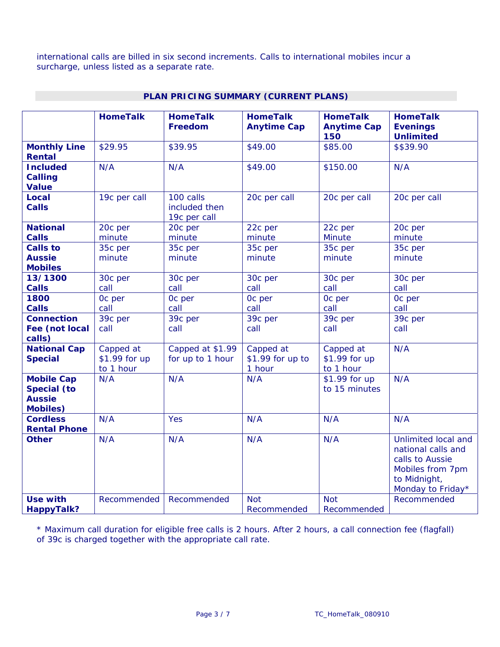international calls are billed in six second increments. Calls to international mobiles incur a surcharge, unless listed as a separate rate.

|                                                                             | <b>HomeTalk</b>                         | <b>HomeTalk</b><br>Freedom                 | <b>HomeTalk</b><br><b>Anytime Cap</b>   | <b>HomeTalk</b><br><b>Anytime Cap</b><br>150 | <b>HomeTalk</b><br><b>Evenings</b><br><b>Unlimited</b>                                                                |
|-----------------------------------------------------------------------------|-----------------------------------------|--------------------------------------------|-----------------------------------------|----------------------------------------------|-----------------------------------------------------------------------------------------------------------------------|
| <b>Monthly Line</b><br>Rental                                               | \$29.95                                 | \$39.95                                    | \$49.00                                 | \$85.00                                      | \$\$39.90                                                                                                             |
| <b>Included</b><br><b>Calling</b><br><b>Value</b>                           | N/A                                     | N/A                                        | \$49.00                                 | \$150.00                                     | N/A                                                                                                                   |
| Local<br><b>Calls</b>                                                       | 19c per call                            | 100 calls<br>included then<br>19c per call | 20c per call                            | 20c per call                                 | 20c per call                                                                                                          |
| <b>National</b><br><b>Calls</b>                                             | 20c per<br>minute                       | 20c per<br>minute                          | 22c per<br>minute                       | 22c per<br><b>Minute</b>                     | 20c per<br>minute                                                                                                     |
| <b>Calls to</b><br><b>Aussie</b><br><b>Mobiles</b>                          | 35c per<br>minute                       | 35c per<br>minute                          | 35c per<br>minute                       | 35c per<br>minute                            | 35c per<br>minute                                                                                                     |
| 13/1300<br><b>Calls</b>                                                     | 30c per<br>call                         | 30c per<br>call                            | 30c per<br>call                         | 30c per<br>call                              | 30c per<br>call                                                                                                       |
| 1800<br><b>Calls</b>                                                        | Oc per<br>call                          | Oc per<br>call                             | Oc per<br>call                          | Oc per<br>call                               | Oc per<br>call                                                                                                        |
| <b>Connection</b><br>Fee (not local<br>calls)                               | 39c per<br>call                         | 39c per<br>call                            | 39c per<br>call                         | 39c per<br>call                              | 39c per<br>call                                                                                                       |
| <b>National Cap</b><br><b>Special</b>                                       | Capped at<br>\$1.99 for up<br>to 1 hour | Capped at \$1.99<br>for up to 1 hour       | Capped at<br>\$1.99 for up to<br>1 hour | Capped at<br>\$1.99 for up<br>to 1 hour      | N/A                                                                                                                   |
| <b>Mobile Cap</b><br><b>Special (to</b><br><b>Aussie</b><br><b>Mobiles)</b> | N/A                                     | N/A                                        | N/A                                     | \$1.99 for up<br>to 15 minutes               | N/A                                                                                                                   |
| <b>Cordless</b><br><b>Rental Phone</b>                                      | N/A                                     | Yes                                        | N/A                                     | N/A                                          | N/A                                                                                                                   |
| <b>Other</b>                                                                | N/A                                     | N/A                                        | N/A                                     | N/A                                          | Unlimited local and<br>national calls and<br>calls to Aussie<br>Mobiles from 7pm<br>to Midnight,<br>Monday to Friday* |
| <b>Use with</b><br><b>HappyTalk?</b>                                        | Recommended                             | Recommended                                | <b>Not</b><br>Recommended               | <b>Not</b><br>Recommended                    | Recommended                                                                                                           |

# **PLAN PRICING SUMMARY (CURRENT PLANS)**

\* Maximum call duration for eligible free calls is 2 hours. After 2 hours, a call connection fee (flagfall) of 39c is charged together with the appropriate call rate.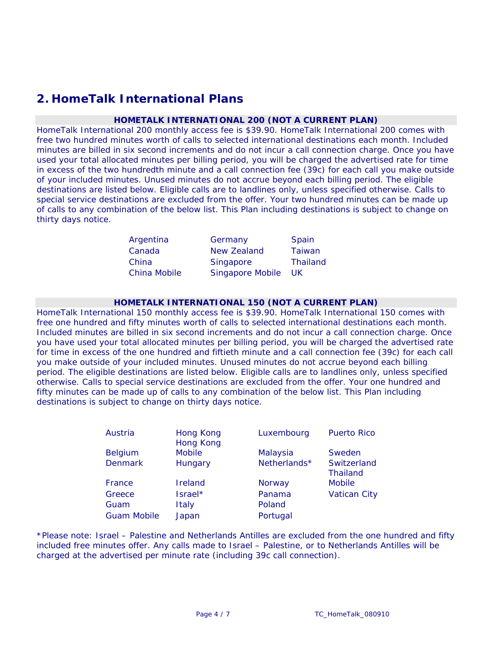# **2. HomeTalk International Plans**

## **HOMETALK INTERNATIONAL 200 (NOT A CURRENT PLAN)**

HomeTalk International 200 monthly access fee is \$39.90. HomeTalk International 200 comes with free two hundred minutes worth of calls to selected international destinations each month. Included minutes are billed in six second increments and do not incur a call connection charge. Once you have used your total allocated minutes per billing period, you will be charged the advertised rate for time in excess of the two hundredth minute and a call connection fee (39c) for each call you make outside of your included minutes. Unused minutes do not accrue beyond each billing period. The eligible destinations are listed below. Eligible calls are to landlines only, unless specified otherwise. Calls to special service destinations are excluded from the offer. Your two hundred minutes can be made up of calls to any combination of the below list. This Plan including destinations is subject to change on thirty days notice.

| Argentina    | Germany                 | Spain           |
|--------------|-------------------------|-----------------|
| Canada       | <b>New Zealand</b>      | <b>Taiwan</b>   |
| China        | Singapore               | <b>Thailand</b> |
| China Mobile | <b>Singapore Mobile</b> | UK.             |

## **HOMETALK INTERNATIONAL 150 (NOT A CURRENT PLAN)**

HomeTalk International 150 monthly access fee is \$39.90. HomeTalk International 150 comes with free one hundred and fifty minutes worth of calls to selected international destinations each month. Included minutes are billed in six second increments and do not incur a call connection charge. Once you have used your total allocated minutes per billing period, you will be charged the advertised rate for time in excess of the one hundred and fiftieth minute and a call connection fee (39c) for each call you make outside of your included minutes. Unused minutes do not accrue beyond each billing period. The eligible destinations are listed below. Eligible calls are to landlines only, unless specified otherwise. Calls to special service destinations are excluded from the offer. Your one hundred and fifty minutes can be made up of calls to any combination of the below list. This Plan including destinations is subject to change on thirty days notice.

| Austria            | Hong Kong<br><b>Hong Kong</b> | Luxembourg   | <b>Puerto Rico</b>             |
|--------------------|-------------------------------|--------------|--------------------------------|
| <b>Belgium</b>     | <b>Mobile</b>                 | Malaysia     | Sweden                         |
| <b>Denmark</b>     | Hungary                       | Netherlands* | Switzerland<br><b>Thailand</b> |
| France             | Ireland                       | Norway       | <b>Mobile</b>                  |
| Greece             | Israel*                       | Panama       | <b>Vatican City</b>            |
| Guam               | Italy                         | Poland       |                                |
| <b>Guam Mobile</b> | Japan                         | Portugal     |                                |

\*Please note: Israel – Palestine and Netherlands Antilles are excluded from the one hundred and fifty included free minutes offer. Any calls made to Israel – Palestine, or to Netherlands Antilles will be charged at the advertised per minute rate (including 39c call connection).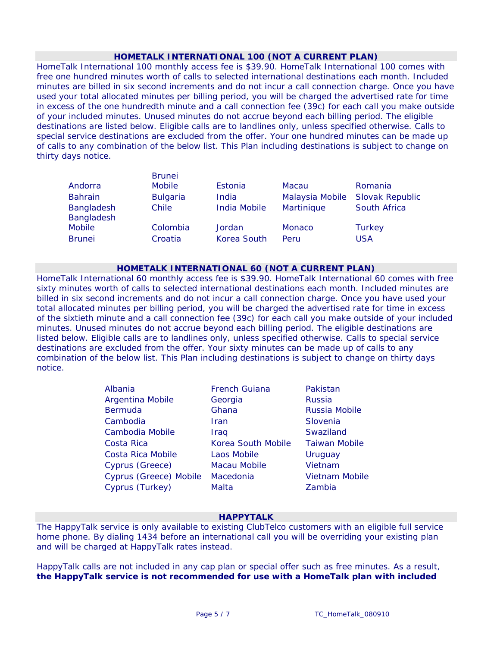## **HOMETALK INTERNATIONAL 100 (NOT A CURRENT PLAN)**

HomeTalk International 100 monthly access fee is \$39.90. HomeTalk International 100 comes with free one hundred minutes worth of calls to selected international destinations each month. Included minutes are billed in six second increments and do not incur a call connection charge. Once you have used your total allocated minutes per billing period, you will be charged the advertised rate for time in excess of the one hundredth minute and a call connection fee (39c) for each call you make outside of your included minutes. Unused minutes do not accrue beyond each billing period. The eligible destinations are listed below. Eligible calls are to landlines only, unless specified otherwise. Calls to special service destinations are excluded from the offer. Your one hundred minutes can be made up of calls to any combination of the below list. This Plan including destinations is subject to change on thirty days notice.

|                          | <b>Brunei</b>   |                     |                 |                        |
|--------------------------|-----------------|---------------------|-----------------|------------------------|
| Andorra                  | <b>Mobile</b>   | Estonia             | Macau           | Romania                |
| <b>Bahrain</b>           | <b>Bulgaria</b> | India               | Malaysia Mobile | <b>Slovak Republic</b> |
| Bangladesh<br>Bangladesh | Chile           | <b>India Mobile</b> | Martinique      | South Africa           |
| <b>Mobile</b>            | Colombia        | Jordan              | <b>Monaco</b>   | <b>Turkey</b>          |
| <b>Brunei</b>            | Croatia         | Korea South         | Peru            | <b>USA</b>             |

## **HOMETALK INTERNATIONAL 60 (NOT A CURRENT PLAN)**

HomeTalk International 60 monthly access fee is \$39.90. HomeTalk International 60 comes with free sixty minutes worth of calls to selected international destinations each month. Included minutes are billed in six second increments and do not incur a call connection charge. Once you have used your total allocated minutes per billing period, you will be charged the advertised rate for time in excess of the sixtieth minute and a call connection fee (39c) for each call you make outside of your included minutes. Unused minutes do not accrue beyond each billing period. The eligible destinations are listed below. Eligible calls are to landlines only, unless specified otherwise. Calls to special service destinations are excluded from the offer. Your sixty minutes can be made up of calls to any combination of the below list. This Plan including destinations is subject to change on thirty days notice.

| Albania                 | <b>French Guiana</b> | Pakistan             |
|-------------------------|----------------------|----------------------|
| <b>Argentina Mobile</b> | Georgia              | <b>Russia</b>        |
| <b>Bermuda</b>          | Ghana                | Russia Mobile        |
| Cambodia                | Iran                 | Slovenia             |
| Cambodia Mobile         | Iraq                 | Swaziland            |
| Costa Rica              | Korea South Mobile   | <b>Taiwan Mobile</b> |
| Costa Rica Mobile       | Laos Mobile          | Uruguay              |
| Cyprus (Greece)         | <b>Macau Mobile</b>  | Vietnam              |
| Cyprus (Greece) Mobile  | Macedonia            | Vietnam Mobile       |
| Cyprus (Turkey)         | Malta                | Zambia               |

# **HAPPYTALK**

The HappyTalk service is only available to existing ClubTelco customers with an eligible full service home phone. By dialing 1434 before an international call you will be overriding your existing plan and will be charged at HappyTalk rates instead.

HappyTalk calls are not included in any cap plan or special offer such as free minutes. As a result, **the HappyTalk service is not recommended for use with a HomeTalk plan with included**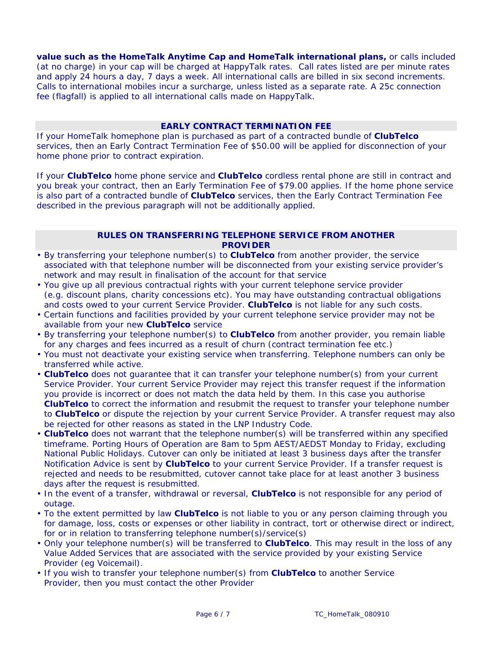**value such as the HomeTalk Anytime Cap and HomeTalk international plans,** or calls included (at no charge) in your cap will be charged at HappyTalk rates. Call rates listed are per minute rates and apply 24 hours a day, 7 days a week. All international calls are billed in six second increments. Calls to international mobiles incur a surcharge, unless listed as a separate rate. A 25c connection fee (flagfall) is applied to all international calls made on HappyTalk.

# **EARLY CONTRACT TERMINATION FEE**

If your HomeTalk homephone plan is purchased as part of a contracted bundle of **ClubTelco**  services, then an Early Contract Termination Fee of \$50.00 will be applied for disconnection of your home phone prior to contract expiration.

If your **ClubTelco** home phone service and **ClubTelco** cordless rental phone are still in contract and you break your contract, then an Early Termination Fee of \$79.00 applies. If the home phone service is also part of a contracted bundle of **ClubTelco** services, then the Early Contract Termination Fee described in the previous paragraph will not be additionally applied.

# **RULES ON TRANSFERRING TELEPHONE SERVICE FROM ANOTHER PROVIDER**

- By transferring your telephone number(s) to **ClubTelco** from another provider, the service associated with that telephone number will be disconnected from your existing service provider's network and may result in finalisation of the account for that service
- You give up all previous contractual rights with your current telephone service provider (e.g. discount plans, charity concessions etc). You may have outstanding contractual obligations and costs owed to your current Service Provider. **ClubTelco** is not liable for any such costs.
- Certain functions and facilities provided by your current telephone service provider may not be available from your new **ClubTelco** service
- By transferring your telephone number(s) to **ClubTelco** from another provider, you remain liable for any charges and fees incurred as a result of churn (contract termination fee etc.)
- You must not deactivate your existing service when transferring. Telephone numbers can only be transferred while active.
- **ClubTelco** does not guarantee that it can transfer your telephone number(s) from your current Service Provider. Your current Service Provider may reject this transfer request if the information you provide is incorrect or does not match the data held by them. In this case you authorise **ClubTelco** to correct the information and resubmit the request to transfer your telephone number to **ClubTelco** or dispute the rejection by your current Service Provider. A transfer request may also be rejected for other reasons as stated in the LNP Industry Code.
- **ClubTelco** does not warrant that the telephone number(s) will be transferred within any specified timeframe. Porting Hours of Operation are 8am to 5pm AEST/AEDST Monday to Friday, excluding National Public Holidays. Cutover can only be initiated at least 3 business days after the transfer Notification Advice is sent by **ClubTelco** to your current Service Provider. If a transfer request is rejected and needs to be resubmitted, cutover cannot take place for at least another 3 business days after the request is resubmitted.
- In the event of a transfer, withdrawal or reversal, **ClubTelco** is not responsible for any period of outage.
- To the extent permitted by law **ClubTelco** is not liable to you or any person claiming through you for damage, loss, costs or expenses or other liability in contract, tort or otherwise direct or indirect, for or in relation to transferring telephone number(s)/service(s)
- Only your telephone number(s) will be transferred to **ClubTelco**. This may result in the loss of any Value Added Services that are associated with the service provided by your existing Service Provider (eg Voicemail).
- If you wish to transfer your telephone number(s) from **ClubTelco** to another Service Provider, then you must contact the other Provider